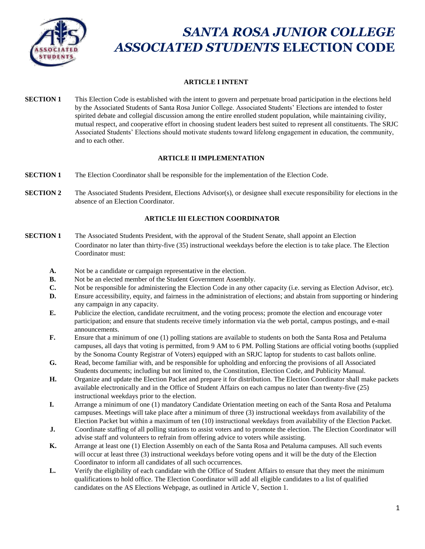

# *SANTA ROSA JUNIOR COLLEGE ASSOCIATED STUDENTS* **ELECTION CODE**

# **ARTICLE I INTENT**

**SECTION 1** This Election Code is established with the intent to govern and perpetuate broad participation in the elections held by the Associated Students of Santa Rosa Junior College. Associated Students' Elections are intended to foster spirited debate and collegial discussion among the entire enrolled student population, while maintaining civility, mutual respect, and cooperative effort in choosing student leaders best suited to represent all constituents. The SRJC Associated Students' Elections should motivate students toward lifelong engagement in education, the community, and to each other.

# **ARTICLE II IMPLEMENTATION**

- **SECTION 1** The Election Coordinator shall be responsible for the implementation of the Election Code.
- **SECTION 2** The Associated Students President, Elections Advisor(s), or designee shall execute responsibility for elections in the absence of an Election Coordinator.

# **ARTICLE III ELECTION COORDINATOR**

- **SECTION 1** The Associated Students President, with the approval of the Student Senate, shall appoint an Election Coordinator no later than thirty-five (35) instructional weekdays before the election is to take place. The Election Coordinator must:
	- **A.** Not be a candidate or campaign representative in the election.
	- **B.** Not be an elected member of the Student Government Assembly.
	- **C.** Not be responsible for administering the Election Code in any other capacity (i.e. serving as Election Advisor, etc).
	- **D.** Ensure accessibility, equity, and fairness in the administration of elections; and abstain from supporting or hindering any campaign in any capacity.
	- **E.** Publicize the election, candidate recruitment, and the voting process; promote the election and encourage voter participation; and ensure that students receive timely information via the web portal, campus postings, and e-mail announcements.
	- **F.** Ensure that a minimum of one (1) polling stations are available to students on both the Santa Rosa and Petaluma campuses, all days that voting is permitted, from 9 AM to 6 PM. Polling Stations are official voting booths (supplied by the Sonoma County Registrar of Voters) equipped with an SRJC laptop for students to cast ballots online.
	- **G.** Read, become familiar with, and be responsible for upholding and enforcing the provisions of all Associated Students documents; including but not limited to, the Constitution, Election Code, and Publicity Manual.
	- **H.** Organize and update the Election Packet and prepare it for distribution. The Election Coordinator shall make packets available electronically and in the Office of Student Affairs on each campus no later than twenty-five (25) instructional weekdays prior to the election.
	- **I.** Arrange a minimum of one (1) mandatory Candidate Orientation meeting on each of the Santa Rosa and Petaluma campuses. Meetings will take place after a minimum of three (3) instructional weekdays from availability of the Election Packet but within a maximum of ten (10) instructional weekdays from availability of the Election Packet.
	- **J.** Coordinate staffing of all polling stations to assist voters and to promote the election. The Election Coordinator will advise staff and volunteers to refrain from offering advice to voters while assisting.
	- **K.** Arrange at least one (1) Election Assembly on each of the Santa Rosa and Petaluma campuses. All such events will occur at least three (3) instructional weekdays before voting opens and it will be the duty of the Election Coordinator to inform all candidates of all such occurrences.
	- **L.** Verify the eligibility of each candidate with the Office of Student Affairs to ensure that they meet the minimum qualifications to hold office. The Election Coordinator will add all eligible candidates to a list of qualified candidates on the AS Elections Webpage, as outlined in Article V, Section 1.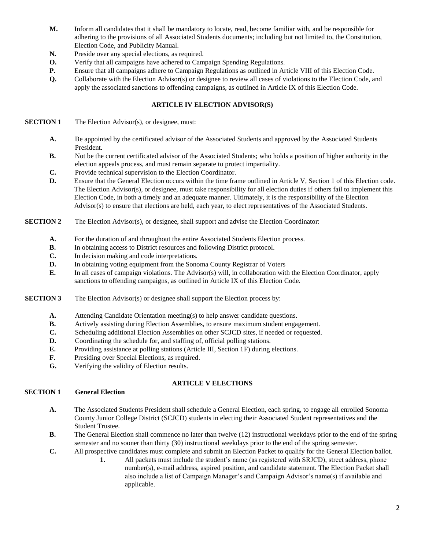- **M.** Inform all candidates that it shall be mandatory to locate, read, become familiar with, and be responsible for adhering to the provisions of all Associated Students documents; including but not limited to, the Constitution, Election Code, and Publicity Manual.
- **N.** Preside over any special elections, as required.
- **O.** Verify that all campaigns have adhered to Campaign Spending Regulations.
- **P.** Ensure that all campaigns adhere to Campaign Regulations as outlined in Article VIII of this Election Code.
- **Q.** Collaborate with the Election Advisor(s) or designee to review all cases of violations to the Election Code, and apply the associated sanctions to offending campaigns, as outlined in Article IX of this Election Code.

## **ARTICLE IV ELECTION ADVISOR(S)**

- **SECTION 1** The Election Advisor(s), or designee, must:
	- **A.** Be appointed by the certificated advisor of the Associated Students and approved by the Associated Students President.
	- **B.** Not be the current certificated advisor of the Associated Students; who holds a position of higher authority in the election appeals process, and must remain separate to protect impartiality.
	- **C.** Provide technical supervision to the Election Coordinator.
	- **D.** Ensure that the General Election occurs within the time frame outlined in Article V, Section 1 of this Election code. The Election Advisor(s), or designee, must take responsibility for all election duties if others fail to implement this Election Code, in both a timely and an adequate manner. Ultimately, it is the responsibility of the Election Advisor(s) to ensure that elections are held, each year, to elect representatives of the Associated Students.
- **SECTION 2** The Election Advisor(s), or designee, shall support and advise the Election Coordinator:
	- **A.** For the duration of and throughout the entire Associated Students Election process.
	- **B.** In obtaining access to District resources and following District protocol.
	- **C.** In decision making and code interpretations.
	- **D.** In obtaining voting equipment from the Sonoma County Registrar of Voters
	- **E.** In all cases of campaign violations. The Advisor(s) will, in collaboration with the Election Coordinator, apply sanctions to offending campaigns, as outlined in Article IX of this Election Code.
- **SECTION 3** The Election Advisor(s) or designee shall support the Election process by:
	- **A.** Attending Candidate Orientation meeting(s) to help answer candidate questions.
	- **B.** Actively assisting during Election Assemblies, to ensure maximum student engagement.
	- **C.** Scheduling additional Election Assemblies on other SCJCD sites, if needed or requested.
	- **D.** Coordinating the schedule for, and staffing of, official polling stations.
	- **E.** Providing assistance at polling stations (Article III, Section 1F) during elections.
	- **F.** Presiding over Special Elections, as required.
	- **G.** Verifying the validity of Election results.

#### **ARTICLE V ELECTIONS**

## **SECTION 1 General Election**

- **A.** The Associated Students President shall schedule a General Election, each spring, to engage all enrolled Sonoma County Junior College District (SCJCD) students in electing their Associated Student representatives and the Student Trustee.
- **B.** The General Election shall commence no later than twelve (12) instructional weekdays prior to the end of the spring semester and no sooner than thirty (30) instructional weekdays prior to the end of the spring semester.
- **C.** All prospective candidates must complete and submit an Election Packet to qualify for the General Election ballot.
	- **1.** All packets must include the student's name (as registered with SRJCD), street address, phone number(s), e-mail address, aspired position, and candidate statement. The Election Packet shall also include a list of Campaign Manager's and Campaign Advisor's name(s) if available and applicable.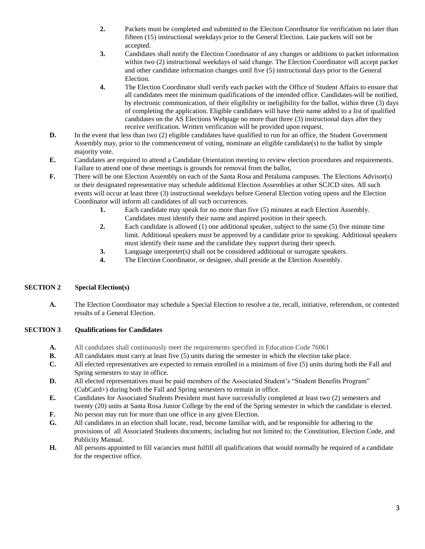- **2.** Packets must be completed and submitted to the Election Coordinator for verification no later than fifteen (15) instructional weekdays prior to the General Election. Late packets will not be accepted.
- **3.** Candidates shall notify the Election Coordinator of any changes or additions to packet information within two (2) instructional weekdays of said change. The Election Coordinator will accept packet and other candidate information changes until five (5) instructional days prior to the General Election.
- **4.** The Election Coordinator shall verify each packet with the Office of Student Affairs to ensure that all candidates meet the minimum qualifications of the intended office. Candidates will be notified, by electronic communication, of their eligibility or ineligibility for the ballot, within three (3) days of completing the application. Eligible candidates will have their name added to a list of qualified candidates on the AS Elections Webpage no more than three (3) instructional days after they receive verification. Written verification will be provided upon request.
- **D.** In the event that less than two (2) eligible candidates have qualified to run for an office, the Student Government Assembly may, prior to the commencement of voting, nominate an eligible candidate(s) to the ballot by simple majority vote.
- **E.** Candidates are required to attend a Candidate Orientation meeting to review election procedures and requirements. Failure to attend one of these meetings is grounds for removal from the ballot,
- **F.** There will be one Election Assembly on each of the Santa Rosa and Petaluma campuses. The Elections Advisor(s) or their designated representative may schedule additional Election Assemblies at other SCJCD sites. All such events will occur at least three (3) instructional weekdays before General Election voting opens and the Election Coordinator will inform all candidates of all such occurrences.
	- **1.** Each candidate may speak for no more than five (5) minutes at each Election Assembly. Candidates must identify their name and aspired position in their speech.
	- **2.** Each candidate is allowed (1) one additional speaker, subject to the same (5) five minute time limit. Additional speakers must be approved by a candidate prior to speaking. Additional speakers must identify their name and the candidate they support during their speech.
	- **3.** Language interpreter(s) shall not be considered additional or surrogate speakers.
	- **4.** The Election Coordinator, or designee, shall preside at the Election Assembly.

# **SECTION 2 Special Election(s)**

**A.** The Election Coordinator may schedule a Special Election to resolve a tie, recall, initiative, referendum, or contested results of a General Election.

# **SECTION 3 Qualifications for Candidates**

- A. All candidates shall continuously meet the requirements specified in Education Code 76061
- **B.** All candidates must carry at least five (5) units during the semester in which the election take place.
- **C.** All elected representatives are expected to remain enrolled in a minimum of five (5) units during both the Fall and Spring semesters to stay in office.
- **D.** All elected representatives must be paid members of the Associated Student's "Student Benefits Program" (CubCard+) during both the Fall and Spring semesters to remain in office.
- **E.** Candidates for Associated Students President must have successfully completed at least two (2) semesters and twenty (20) units at Santa Rosa Junior College by the end of the Spring semester in which the candidate is elected.
- **F.** No person may run for more than one office in any given Election.
- **G.** All candidates in an election shall locate, read, become familiar with, and be responsible for adhering to the provisions of all Associated Students documents; including but not limited to; the Constitution, Election Code, and Publicity Manual.
- **H.** All persons appointed to fill vacancies must fulfill all qualifications that would normally be required of a candidate for the respective office.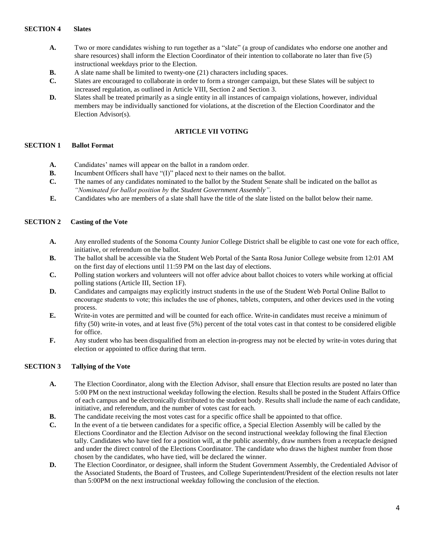#### **SECTION 4 Slates**

- **A.** Two or more candidates wishing to run together as a "slate" (a group of candidates who endorse one another and share resources) shall inform the Election Coordinator of their intention to collaborate no later than five (5) instructional weekdays prior to the Election.
- **B.** A slate name shall be limited to twenty-one (21) characters including spaces.
- **C.** Slates are encouraged to collaborate in order to form a stronger campaign, but these Slates will be subject to increased regulation, as outlined in Article VIII, Section 2 and Section 3.
- **D.** Slates shall be treated primarily as a single entity in all instances of campaign violations, however, individual members may be individually sanctioned for violations, at the discretion of the Election Coordinator and the Election Advisor(s).

## **ARTICLE VII VOTING**

## **SECTION 1 Ballot Format**

- **A.** Candidates' names will appear on the ballot in a random order.
- **B.** Incumbent Officers shall have "(I)" placed next to their names on the ballot.
- **C.** The names of any candidates nominated to the ballot by the Student Senate shall be indicated on the ballot as *"Nominated for ballot position by the Student Government Assembly"*.
- **E.** Candidates who are members of a slate shall have the title of the slate listed on the ballot below their name.

#### **SECTION 2 Casting of the Vote**

- **A.** Any enrolled students of the Sonoma County Junior College District shall be eligible to cast one vote for each office, initiative, or referendum on the ballot.
- **B.** The ballot shall be accessible via the Student Web Portal of the Santa Rosa Junior College website from 12:01 AM on the first day of elections until 11:59 PM on the last day of elections.
- **C.** Polling station workers and volunteers will not offer advice about ballot choices to voters while working at official polling stations (Article III, Section 1F).
- **D.** Candidates and campaigns may explicitly instruct students in the use of the Student Web Portal Online Ballot to encourage students to vote; this includes the use of phones, tablets, computers, and other devices used in the voting process.
- **E.** Write-in votes are permitted and will be counted for each office. Write-in candidates must receive a minimum of fifty (50) write-in votes, and at least five (5%) percent of the total votes cast in that contest to be considered eligible for office.
- **F.** Any student who has been disqualified from an election in-progress may not be elected by write-in votes during that election or appointed to office during that term.

## **SECTION 3 Tallying of the Vote**

- **A.** The Election Coordinator, along with the Election Advisor, shall ensure that Election results are posted no later than 5:00 PM on the next instructional weekday following the election. Results shall be posted in the Student Affairs Office of each campus and be electronically distributed to the student body. Results shall include the name of each candidate, initiative, and referendum, and the number of votes cast for each.
- **B.** The candidate receiving the most votes cast for a specific office shall be appointed to that office.
- **C.** In the event of a tie between candidates for a specific office, a Special Election Assembly will be called by the Elections Coordinator and the Election Advisor on the second instructional weekday following the final Election tally. Candidates who have tied for a position will, at the public assembly, draw numbers from a receptacle designed and under the direct control of the Elections Coordinator. The candidate who draws the highest number from those chosen by the candidates, who have tied, will be declared the winner.
- **D.** The Election Coordinator, or designee, shall inform the Student Government Assembly, the Credentialed Advisor of the Associated Students, the Board of Trustees, and College Superintendent/President of the election results not later than 5:00PM on the next instructional weekday following the conclusion of the election.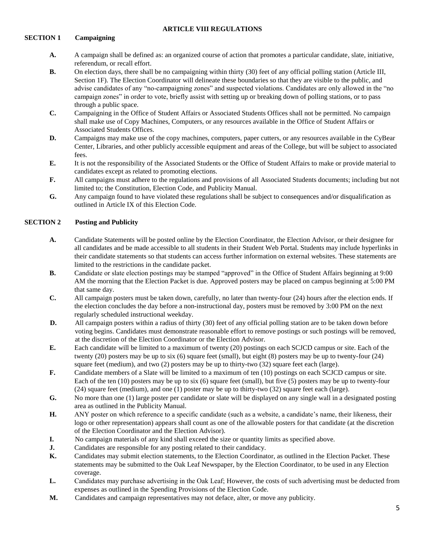## **ARTICLE VIII REGULATIONS**

## **SECTION 1 Campaigning**

- **A.** A campaign shall be defined as: an organized course of action that promotes a particular candidate, slate, initiative, referendum, or recall effort.
- **B.** On election days, there shall be no campaigning within thirty (30) feet of any official polling station (Article III, Section 1F). The Election Coordinator will delineate these boundaries so that they are visible to the public, and advise candidates of any "nocampaigning zones" and suspected violations. Candidates are only allowed in the "no campaign zones" in order to vote, briefly assist with setting up or breaking down of polling stations, or to pass through a public space.
- **C.** Campaigning in the Office of Student Affairs or Associated Students Offices shall not be permitted. No campaign shall make use of Copy Machines, Computers, or any resources available in the Office of Student Affairs or Associated Students Offices.
- **D.** Campaigns may make use of the copy machines, computers, paper cutters, or any resources available in the CyBear Center, Libraries, and other publicly accessible equipment and areas of the College, but will be subject to associated fees.
- **E.** It is not the responsibility of the Associated Students or the Office of Student Affairs to make or provide material to candidates except as related to promoting elections.
- **F.** All campaigns must adhere to the regulations and provisions of all Associated Students documents; including but not limited to; the Constitution, Election Code, and Publicity Manual.
- **G.** Any campaign found to have violated these regulations shall be subject to consequences and/or disqualification as outlined in Article IX of this Election Code.

## **SECTION 2 Posting and Publicity**

- **A.** Candidate Statements will be posted online by the Election Coordinator, the Election Advisor, or their designee for all candidates and be made accessible to all students in their Student Web Portal. Students may include hyperlinks in their candidate statements so that students can access further information on external websites. These statements are limited to the restrictions in the candidate packet.
- **B.** Candidate or slate election postings may be stamped "approved" in the Office of Student Affairs beginning at 9:00 AM the morning that the Election Packet is due. Approved posters may be placed on campus beginning at 5:00 PM that same day.
- **C.** All campaign posters must be taken down, carefully, no later than twenty-four (24) hours after the election ends. If the election concludes the day before a non-instructional day, posters must be removed by 3:00 PM on the next regularly scheduled instructional weekday.
- **D.** All campaign posters within a radius of thirty (30) feet of any official polling station are to be taken down before voting begins. Candidates must demonstrate reasonable effort to remove postings or such postings will be removed, at the discretion of the Election Coordinator or the Election Advisor.
- **E.** Each candidate will be limited to a maximum of twenty (20) postings on each SCJCD campus or site. Each of the twenty (20) posters may be up to six (6) square feet (small), but eight (8) posters may be up to twenty-four (24) square feet (medium), and two (2) posters may be up to thirty-two (32) square feet each (large).
- **F.** Candidate members of a Slate will be limited to a maximum of ten (10) postings on each SCJCD campus or site. Each of the ten (10) posters may be up to six (6) square feet (small), but five (5) posters may be up to twenty-four (24) square feet (medium), and one (1) poster may be up to thirty-two (32) square feet each (large).
- **G.** No more than one (1) large poster per candidate or slate will be displayed on any single wall in a designated posting area as outlined in the Publicity Manual.
- **H.** ANY poster on which reference to a specific candidate (such as a website, a candidate's name, their likeness, their logo or other representation) appears shall count as one of the allowable posters for that candidate (at the discretion of the Election Coordinator and the Election Advisor).
- **I.** No campaign materials of any kind shall exceed the size or quantity limits as specified above.
- **J.** Candidates are responsible for any posting related to their candidacy.
- **K.** Candidates may submit election statements, to the Election Coordinator, as outlined in the Election Packet. These statements may be submitted to the Oak Leaf Newspaper, by the Election Coordinator, to be used in any Election coverage.
- **L.** Candidates may purchase advertising in the Oak Leaf; However, the costs of such advertising must be deducted from expenses as outlined in the Spending Provisions of the Election Code.
- **M.** Candidates and campaign representatives may not deface, alter, or move any publicity.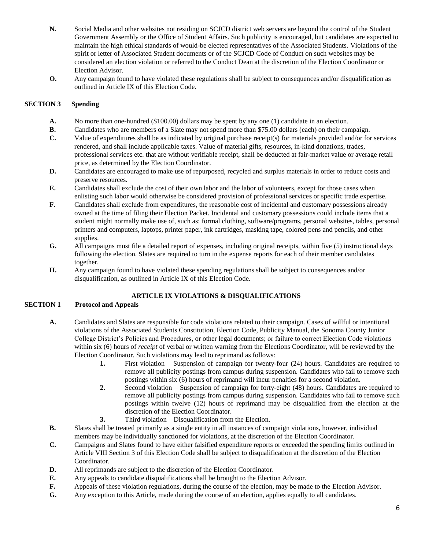- **N.** Social Media and other websites not residing on SCJCD district web servers are beyond the control of the Student Government Assembly or the Office of Student Affairs. Such publicity is encouraged, but candidates are expected to maintain the high ethical standards of would-be elected representatives of the Associated Students. Violations of the spirit or letter of Associated Student documents or of the SCJCD Code of Conduct on such websites may be considered an election violation or referred to the Conduct Dean at the discretion of the Election Coordinator or Election Advisor.
- **O.** Any campaign found to have violated these regulations shall be subject to consequences and/or disqualification as outlined in Article IX of this Election Code.

## **SECTION 3 Spending**

- **A.** No more than one-hundred (\$100.00) dollars may be spent by any one (1) candidate in an election.
- **B.** Candidates who are members of a Slate may not spend more than \$75.00 dollars (each) on their campaign.
- **C.** Value of expenditures shall be as indicated by original purchase receipt(s) for materials provided and/or for services rendered, and shall include applicable taxes. Value of material gifts, resources, in-kind donations, trades, professional services etc. that are without verifiable receipt, shall be deducted at fair-market value or average retail price, as determined by the Election Coordinator.
- **D.** Candidates are encouraged to make use of repurposed, recycled and surplus materials in order to reduce costs and preserve resources.
- **E.** Candidates shall exclude the cost of their own labor and the labor of volunteers, except for those cases when enlisting such labor would otherwise be considered provision of professional services or specific trade expertise.
- **F.** Candidates shall exclude from expenditures, the reasonable cost of incidental and customary possessions already owned at the time of filing their Election Packet. Incidental and customary possessions could include items that a student might normally make use of, such as: formal clothing, software/programs, personal websites, tables, personal printers and computers, laptops, printer paper, ink cartridges, masking tape, colored pens and pencils, and other supplies.
- **G.** All campaigns must file a detailed report of expenses, including original receipts, within five (5) instructional days following the election. Slates are required to turn in the expense reports for each of their member candidates together.
- **H.** Any campaign found to have violated these spending regulations shall be subject to consequences and/or disqualification, as outlined in Article IX of this Election Code.

# **ARTICLE IX VIOLATIONS & DISQUALIFICATIONS**

#### **SECTION 1 Protocol and Appeals**

- **A.** Candidates and Slates are responsible for code violations related to their campaign. Cases of willful or intentional violations of the Associated Students Constitution, Election Code, Publicity Manual, the Sonoma County Junior College District's Policies and Procedures, or other legal documents; or failure to correct Election Code violations within six (6) hours of *receipt* of verbal or written warning from the Elections Coordinator, will be reviewed by the Election Coordinator. Such violations may lead to reprimand as follows:
	- **1.** First violation Suspension of campaign for twenty-four (24) hours. Candidates are required to remove all publicity postings from campus during suspension. Candidates who fail to remove such postings within six (6) hours of reprimand will incur penalties for a second violation.
	- **2.** Second violation Suspension of campaign for forty-eight (48) hours. Candidates are required to remove all publicity postings from campus during suspension. Candidates who fail to remove such postings within twelve (12) hours of reprimand may be disqualified from the election at the discretion of the Election Coordinator.
	- **3.** Third violation Disqualification from the Election.
- **B.** Slates shall be treated primarily as a single entity in all instances of campaign violations, however, individual members may be individually sanctioned for violations, at the discretion of the Election Coordinator.
- **C.** Campaigns and Slates found to have either falsified expenditure reports or exceeded the spending limits outlined in Article VIII Section 3 of this Election Code shall be subject to disqualification at the discretion of the Election Coordinator.
- **D.** All reprimands are subject to the discretion of the Election Coordinator.
- **E.** Any appeals to candidate disqualifications shall be brought to the Election Advisor.
- **F.** Appeals of these violation regulations, during the course of the election, may be made to the Election Advisor.
- **G.** Any exception to this Article, made during the course of an election, applies equally to all candidates.